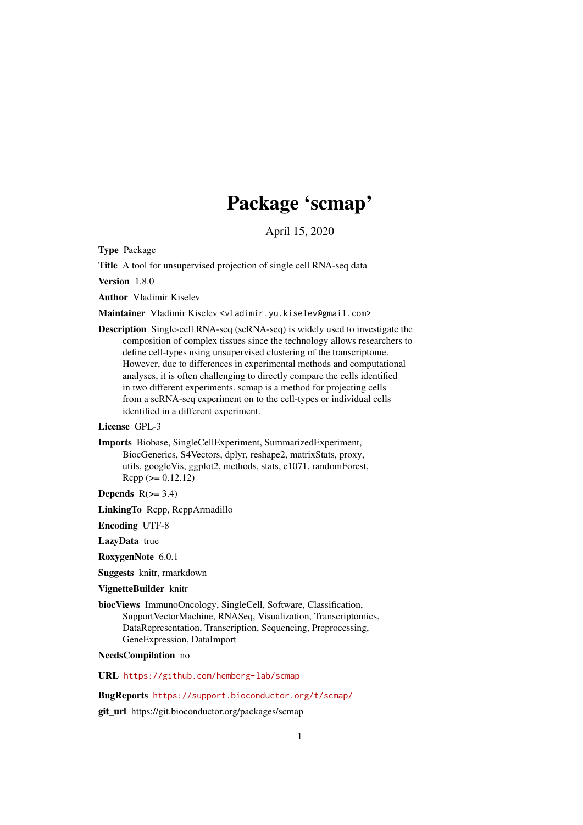# Package 'scmap'

April 15, 2020

<span id="page-0-0"></span>Type Package

Title A tool for unsupervised projection of single cell RNA-seq data

Version 1.8.0

Author Vladimir Kiselev

Maintainer Vladimir Kiselev <vladimir.yu.kiselev@gmail.com>

Description Single-cell RNA-seq (scRNA-seq) is widely used to investigate the composition of complex tissues since the technology allows researchers to define cell-types using unsupervised clustering of the transcriptome. However, due to differences in experimental methods and computational analyses, it is often challenging to directly compare the cells identified in two different experiments. scmap is a method for projecting cells from a scRNA-seq experiment on to the cell-types or individual cells identified in a different experiment.

License GPL-3

Imports Biobase, SingleCellExperiment, SummarizedExperiment, BiocGenerics, S4Vectors, dplyr, reshape2, matrixStats, proxy, utils, googleVis, ggplot2, methods, stats, e1071, randomForest,  $Rcpp (> = 0.12.12)$ 

Depends  $R(>= 3.4)$ 

LinkingTo Rcpp, RcppArmadillo

Encoding UTF-8

LazyData true

RoxygenNote 6.0.1

Suggests knitr, rmarkdown

#### VignetteBuilder knitr

biocViews ImmunoOncology, SingleCell, Software, Classification, SupportVectorMachine, RNASeq, Visualization, Transcriptomics, DataRepresentation, Transcription, Sequencing, Preprocessing, GeneExpression, DataImport

NeedsCompilation no

URL <https://github.com/hemberg-lab/scmap>

BugReports <https://support.bioconductor.org/t/scmap/>

git\_url https://git.bioconductor.org/packages/scmap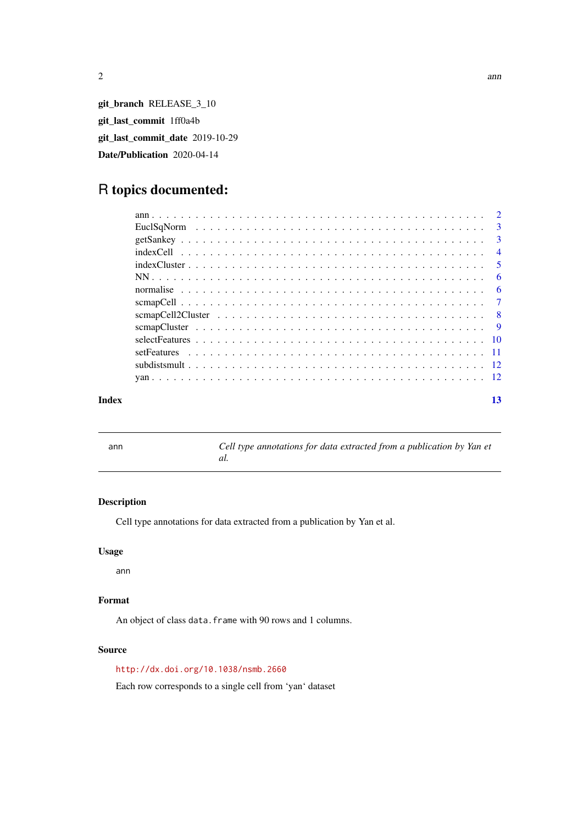<span id="page-1-0"></span>

git\_branch RELEASE\_3\_10 git\_last\_commit 1ff0a4b git\_last\_commit\_date 2019-10-29 Date/Publication 2020-04-14

## R topics documented:

|                                                                                                                | $\overline{3}$ |
|----------------------------------------------------------------------------------------------------------------|----------------|
|                                                                                                                | $\mathbf{3}$   |
|                                                                                                                | $\overline{4}$ |
| $indexCluster \dots \dots \dots \dots \dots \dots \dots \dots \dots \dots \dots \dots \dots \dots \dots \dots$ | - 5            |
|                                                                                                                | -6             |
|                                                                                                                | -6             |
|                                                                                                                | $\overline{7}$ |
|                                                                                                                | - 8            |
|                                                                                                                | $\overline{9}$ |
|                                                                                                                |                |
|                                                                                                                |                |
|                                                                                                                |                |
|                                                                                                                |                |
|                                                                                                                |                |

#### **Index** [13](#page-12-0)

ann *Cell type annotations for data extracted from a publication by Yan et al.*

#### Description

Cell type annotations for data extracted from a publication by Yan et al.

#### Usage

ann

#### Format

An object of class data. frame with 90 rows and 1 columns.

### Source

<http://dx.doi.org/10.1038/nsmb.2660>

Each row corresponds to a single cell from 'yan' dataset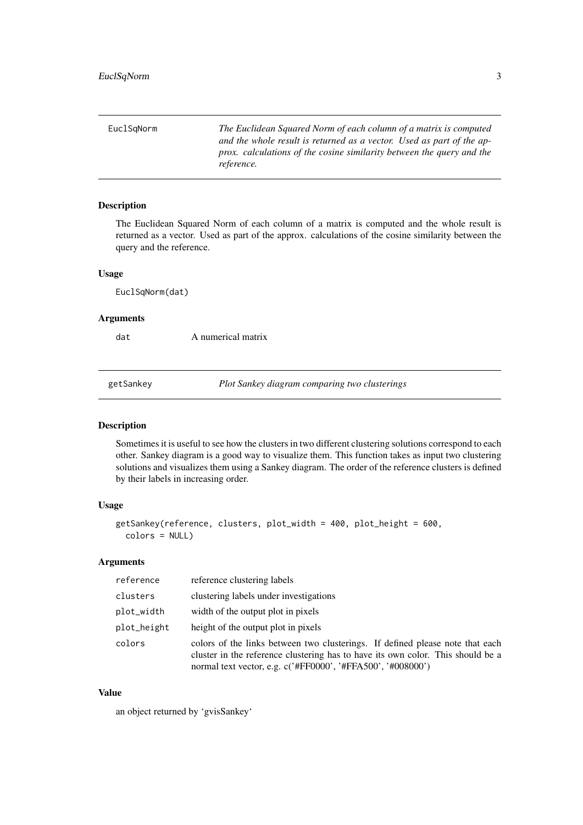<span id="page-2-0"></span>

| EuclSgNorm | The Euclidean Squared Norm of each column of a matrix is computed<br>and the whole result is returned as a vector. Used as part of the ap-<br>prox. calculations of the cosine similarity between the query and the<br>reference. |
|------------|-----------------------------------------------------------------------------------------------------------------------------------------------------------------------------------------------------------------------------------|
|            |                                                                                                                                                                                                                                   |

The Euclidean Squared Norm of each column of a matrix is computed and the whole result is returned as a vector. Used as part of the approx. calculations of the cosine similarity between the query and the reference.

#### Usage

EuclSqNorm(dat)

#### Arguments

dat A numerical matrix

getSankey *Plot Sankey diagram comparing two clusterings*

#### Description

Sometimes it is useful to see how the clusters in two different clustering solutions correspond to each other. Sankey diagram is a good way to visualize them. This function takes as input two clustering solutions and visualizes them using a Sankey diagram. The order of the reference clusters is defined by their labels in increasing order.

#### Usage

```
getSankey(reference, clusters, plot_width = 400, plot_height = 600,
 colors = NULL)
```
#### Arguments

| reference   | reference clustering labels                                                                                                                                                                                                     |
|-------------|---------------------------------------------------------------------------------------------------------------------------------------------------------------------------------------------------------------------------------|
| clusters    | clustering labels under investigations                                                                                                                                                                                          |
| plot_width  | width of the output plot in pixels                                                                                                                                                                                              |
| plot_height | height of the output plot in pixels                                                                                                                                                                                             |
| colors      | colors of the links between two clusterings. If defined please note that each<br>cluster in the reference clustering has to have its own color. This should be a<br>normal text vector, e.g. c('#FF0000', '#FFA500', '#008000') |

#### Value

an object returned by 'gvisSankey'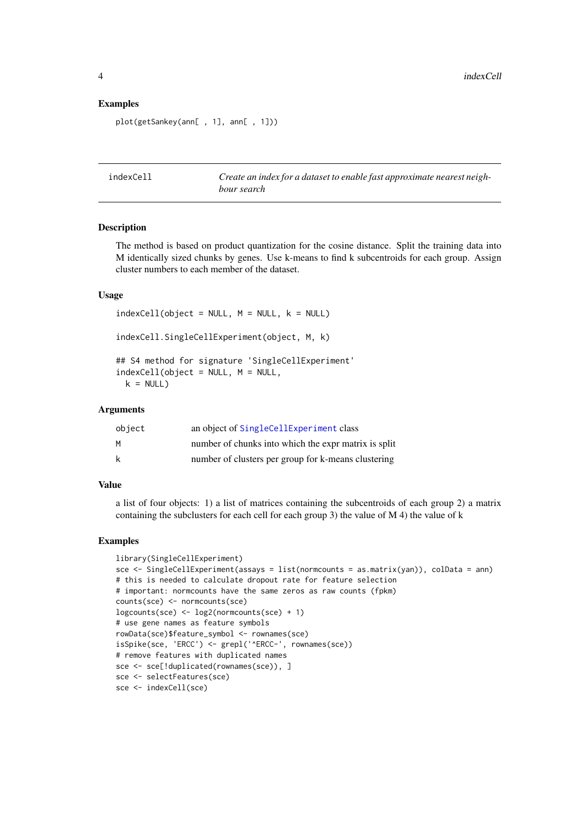#### Examples

plot(getSankey(ann[ , 1], ann[ , 1]))

indexCell *Create an index for a dataset to enable fast approximate nearest neighbour search*

#### Description

The method is based on product quantization for the cosine distance. Split the training data into M identically sized chunks by genes. Use k-means to find k subcentroids for each group. Assign cluster numbers to each member of the dataset.

#### Usage

 $indexCell(object = NULL, M = NULL, k = NULL)$ indexCell.SingleCellExperiment(object, M, k) ## S4 method for signature 'SingleCellExperiment'  $indexCell(object = NULL, M = NULL,$  $k = NULL$ 

#### Arguments

| object | an object of SingleCellExperiment class              |
|--------|------------------------------------------------------|
| м      | number of chunks into which the expr matrix is split |
| k      | number of clusters per group for k-means clustering  |

#### Value

a list of four objects: 1) a list of matrices containing the subcentroids of each group 2) a matrix containing the subclusters for each cell for each group 3) the value of M 4) the value of k

```
library(SingleCellExperiment)
sce <- SingleCellExperiment(assays = list(normcounts = as.matrix(yan)), colData = ann)
# this is needed to calculate dropout rate for feature selection
# important: normcounts have the same zeros as raw counts (fpkm)
counts(sce) <- normcounts(sce)
logcounts(sce) <- log2(normcounts(sce) + 1)
# use gene names as feature symbols
rowData(sce)$feature_symbol <- rownames(sce)
isSpike(sce, 'ERCC') <- grepl('^ERCC-', rownames(sce))
# remove features with duplicated names
sce <- sce[!duplicated(rownames(sce)), ]
sce <- selectFeatures(sce)
sce <- indexCell(sce)
```
<span id="page-3-0"></span>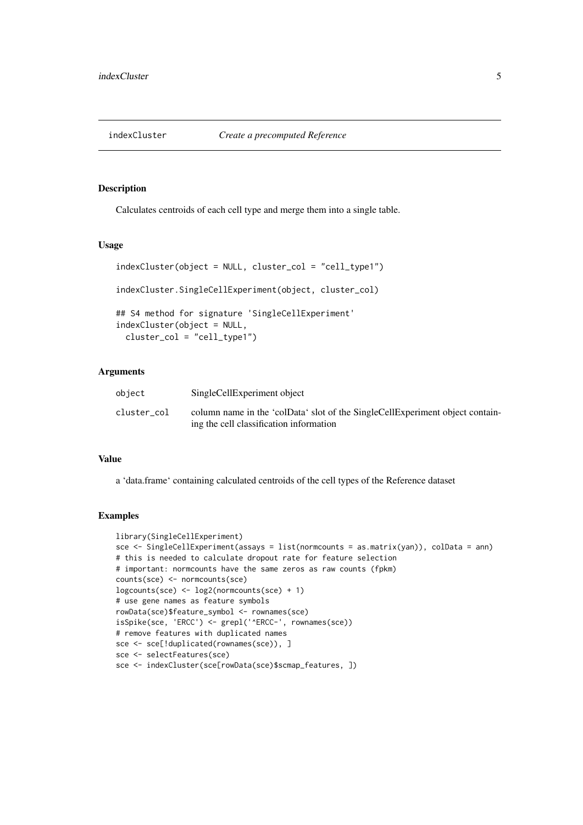<span id="page-4-0"></span>

Calculates centroids of each cell type and merge them into a single table.

#### Usage

```
indexCluster(object = NULL, cluster_col = "cell_type1")
indexCluster.SingleCellExperiment(object, cluster_col)
## S4 method for signature 'SingleCellExperiment'
indexCluster(object = NULL,
 cluster_col = "cell_type1")
```
#### Arguments

| object      | SingleCellExperiment object                                                                                              |
|-------------|--------------------------------------------------------------------------------------------------------------------------|
| cluster col | column name in the 'colData' slot of the SingleCellExperiment object contain-<br>ing the cell classification information |

#### Value

a 'data.frame' containing calculated centroids of the cell types of the Reference dataset

```
library(SingleCellExperiment)
sce <- SingleCellExperiment(assays = list(normcounts = as.matrix(yan)), colData = ann)
# this is needed to calculate dropout rate for feature selection
# important: normcounts have the same zeros as raw counts (fpkm)
counts(sce) <- normcounts(sce)
logcounts(sce) <- log2(normcounts(sce) + 1)
# use gene names as feature symbols
rowData(sce)$feature_symbol <- rownames(sce)
isSpike(sce, 'ERCC') <- grepl('^ERCC-', rownames(sce))
# remove features with duplicated names
sce <- sce[!duplicated(rownames(sce)), ]
sce <- selectFeatures(sce)
sce <- indexCluster(sce[rowData(sce)$scmap_features, ])
```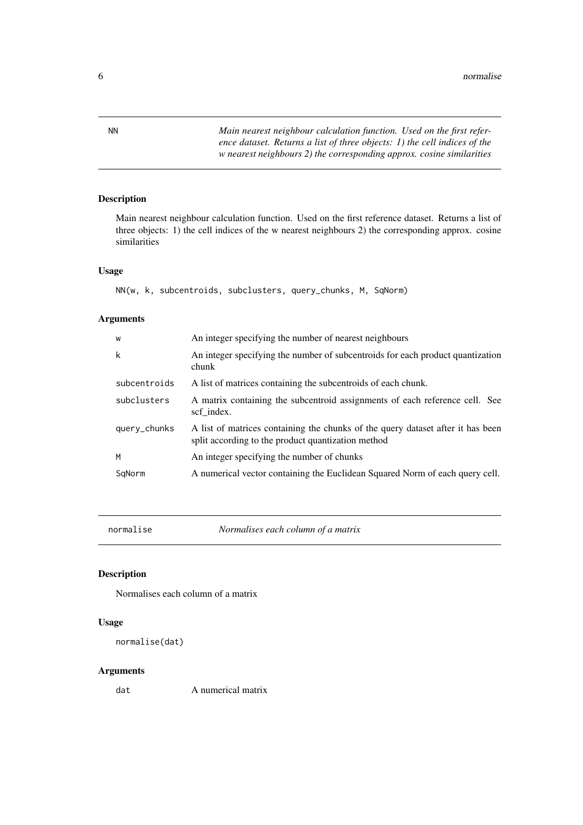<span id="page-5-0"></span>NN *Main nearest neighbour calculation function. Used on the first reference dataset. Returns a list of three objects: 1) the cell indices of the w nearest neighbours 2) the corresponding approx. cosine similarities*

### Description

Main nearest neighbour calculation function. Used on the first reference dataset. Returns a list of three objects: 1) the cell indices of the w nearest neighbours 2) the corresponding approx. cosine similarities

#### Usage

NN(w, k, subcentroids, subclusters, query\_chunks, M, SqNorm)

#### Arguments

| W            | An integer specifying the number of nearest neighbours                                                                                |
|--------------|---------------------------------------------------------------------------------------------------------------------------------------|
| k            | An integer specifying the number of subcentroids for each product quantization<br>chunk                                               |
| subcentroids | A list of matrices containing the subcentroids of each chunk.                                                                         |
| subclusters  | A matrix containing the subcentroid assignments of each reference cell. See<br>scf index.                                             |
| query_chunks | A list of matrices containing the chunks of the query dataset after it has been<br>split according to the product quantization method |
| M            | An integer specifying the number of chunks                                                                                            |
| SqNorm       | A numerical vector containing the Euclidean Squared Norm of each query cell.                                                          |

normalise *Normalises each column of a matrix*

#### Description

Normalises each column of a matrix

#### Usage

```
normalise(dat)
```
#### Arguments

dat A numerical matrix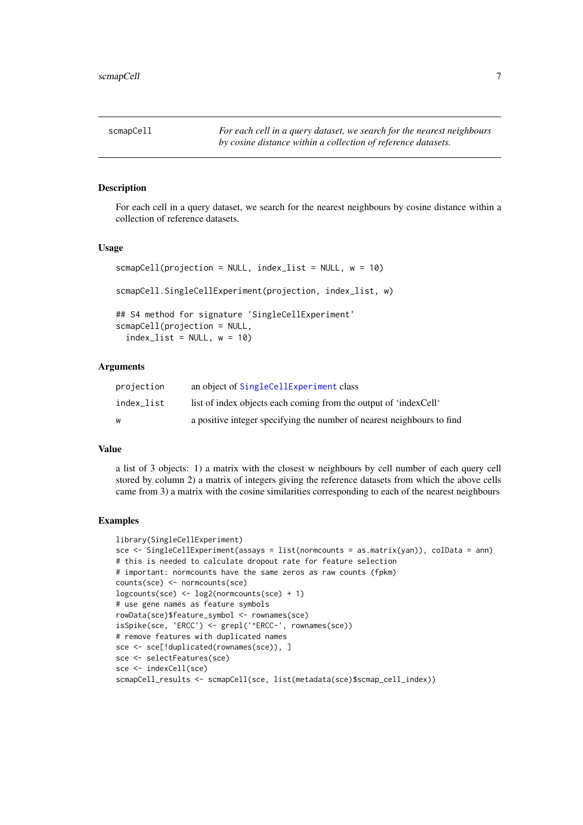<span id="page-6-0"></span>

For each cell in a query dataset, we search for the nearest neighbours by cosine distance within a collection of reference datasets.

#### Usage

```
scmapCell(projection = NULL, index_list = NULL, w = 10)scmapCell.SingleCellExperiment(projection, index_list, w)
## S4 method for signature 'SingleCellExperiment'
scmapCell(projection = NULL,
  index_list = NULL, w = 10)
```
#### Arguments

| projection | an object of SingleCellExperiment class                                |
|------------|------------------------------------------------------------------------|
| index list | list of index objects each coming from the output of 'indexCell'       |
| W          | a positive integer specifying the number of nearest neighbours to find |

#### Value

a list of 3 objects: 1) a matrix with the closest w neighbours by cell number of each query cell stored by column 2) a matrix of integers giving the reference datasets from which the above cells came from 3) a matrix with the cosine similarities corresponding to each of the nearest neighbours

```
library(SingleCellExperiment)
sce <- SingleCellExperiment(assays = list(normcounts = as.matrix(yan)), colData = ann)
# this is needed to calculate dropout rate for feature selection
# important: normcounts have the same zeros as raw counts (fpkm)
counts(sce) <- normcounts(sce)
logcounts(sce) <- log2(normcounts(sce) + 1)
# use gene names as feature symbols
rowData(sce)$feature_symbol <- rownames(sce)
isSpike(sce, 'ERCC') <- grepl('^ERCC-', rownames(sce))
# remove features with duplicated names
sce <- sce[!duplicated(rownames(sce)), ]
sce <- selectFeatures(sce)
sce <- indexCell(sce)
scmapCell_results <- scmapCell(sce, list(metadata(sce)$scmap_cell_index))
```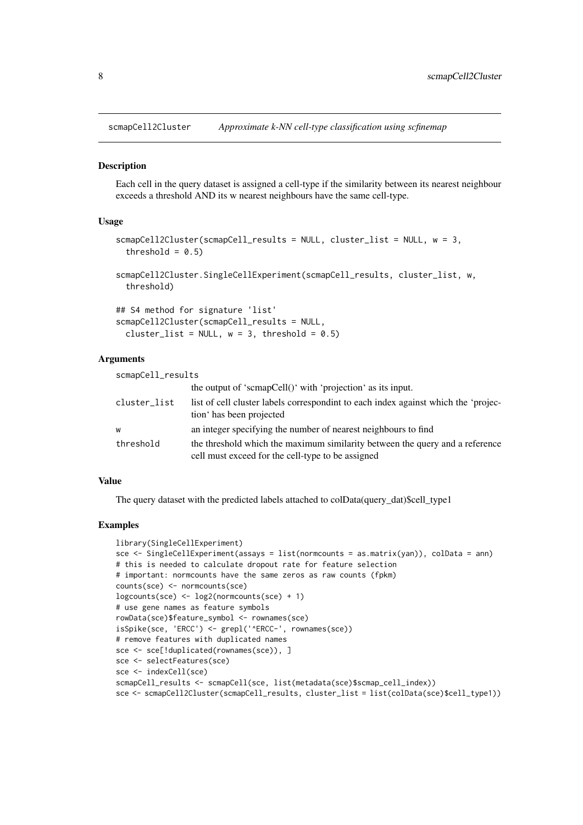<span id="page-7-0"></span>

Each cell in the query dataset is assigned a cell-type if the similarity between its nearest neighbour exceeds a threshold AND its w nearest neighbours have the same cell-type.

#### Usage

```
scmapCell2Cluster(scmapCell_results = NULL, cluster_list = NULL, w = 3,
  threshold = 0.5)
scmapCell2Cluster.SingleCellExperiment(scmapCell_results, cluster_list, w,
```
threshold)

```
## S4 method for signature 'list'
scmapCell2Cluster(scmapCell_results = NULL,
 cluster_list = NULL, w = 3, threshold = 0.5)
```
#### Arguments

| scmapCell_results |                                                                                                                                   |
|-------------------|-----------------------------------------------------------------------------------------------------------------------------------|
|                   | the output of 'scmapCell()' with 'projection' as its input.                                                                       |
| cluster_list      | list of cell cluster labels correspondint to each index against which the 'projec-<br>tion has been projected                     |
| W                 | an integer specifying the number of nearest neighbours to find                                                                    |
| threshold         | the threshold which the maximum similarity between the query and a reference<br>cell must exceed for the cell-type to be assigned |

#### Value

The query dataset with the predicted labels attached to colData(query\_dat)\$cell\_type1

```
library(SingleCellExperiment)
sce <- SingleCellExperiment(assays = list(normcounts = as.matrix(yan)), colData = ann)
# this is needed to calculate dropout rate for feature selection
# important: normcounts have the same zeros as raw counts (fpkm)
counts(sce) <- normcounts(sce)
logcounts(sce) <- log2(normcounts(sce) + 1)
# use gene names as feature symbols
rowData(sce)$feature_symbol <- rownames(sce)
isSpike(sce, 'ERCC') <- grepl('^ERCC-', rownames(sce))
# remove features with duplicated names
sce <- sce[!duplicated(rownames(sce)), ]
sce <- selectFeatures(sce)
sce <- indexCell(sce)
scmapCell_results <- scmapCell(sce, list(metadata(sce)$scmap_cell_index))
sce <- scmapCell2Cluster(scmapCell_results, cluster_list = list(colData(sce)$cell_type1))
```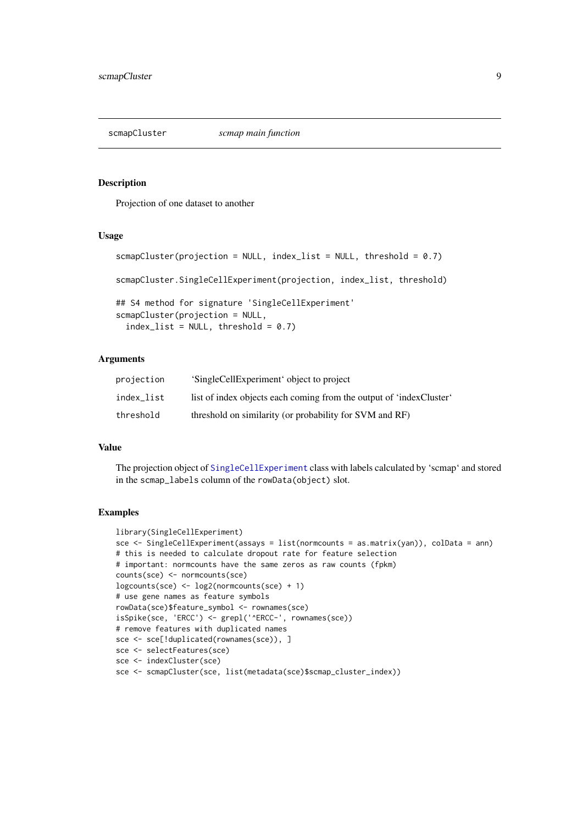<span id="page-8-0"></span>

Projection of one dataset to another

#### Usage

```
scmapCluster(projection = NULL, index_list = NULL, threshold = 0.7)
scmapCluster.SingleCellExperiment(projection, index_list, threshold)
## S4 method for signature 'SingleCellExperiment'
scmapCluster(projection = NULL,
  index_list = NULL, threshold = 0.7)
```
#### Arguments

| projection | 'SingleCellExperiment' object to project                            |
|------------|---------------------------------------------------------------------|
| index list | list of index objects each coming from the output of 'indexCluster' |
| threshold  | threshold on similarity (or probability for SVM and RF)             |

#### Value

The projection object of [SingleCellExperiment](#page-0-0) class with labels calculated by 'scmap' and stored in the scmap\_labels column of the rowData(object) slot.

```
library(SingleCellExperiment)
sce <- SingleCellExperiment(assays = list(normcounts = as.matrix(yan)), colData = ann)
# this is needed to calculate dropout rate for feature selection
# important: normcounts have the same zeros as raw counts (fpkm)
counts(sce) <- normcounts(sce)
logcounts(sce) <- log2(normcounts(sce) + 1)
# use gene names as feature symbols
rowData(sce)$feature_symbol <- rownames(sce)
isSpike(sce, 'ERCC') <- grepl('^ERCC-', rownames(sce))
# remove features with duplicated names
sce <- sce[!duplicated(rownames(sce)), ]
sce <- selectFeatures(sce)
sce <- indexCluster(sce)
sce <- scmapCluster(sce, list(metadata(sce)$scmap_cluster_index))
```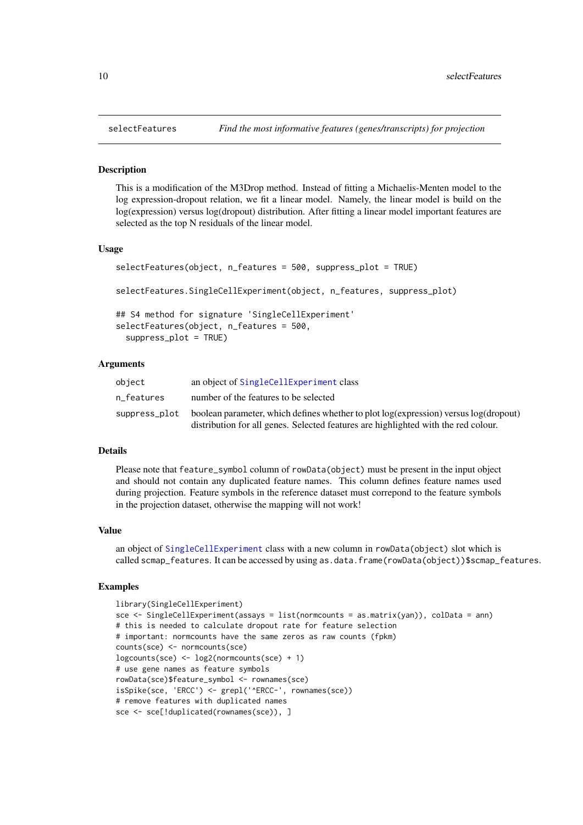This is a modification of the M3Drop method. Instead of fitting a Michaelis-Menten model to the log expression-dropout relation, we fit a linear model. Namely, the linear model is build on the log(expression) versus log(dropout) distribution. After fitting a linear model important features are selected as the top N residuals of the linear model.

#### Usage

```
selectFeatures(object, n_features = 500, suppress_plot = TRUE)
selectFeatures.SingleCellExperiment(object, n_features, suppress_plot)
## S4 method for signature 'SingleCellExperiment'
selectFeatures(object, n_features = 500,
  suppress_plot = TRUE)
```
#### Arguments

| object        | an object of SingleCellExperiment class                                              |
|---------------|--------------------------------------------------------------------------------------|
| n features    | number of the features to be selected                                                |
| suppress_plot | boolean parameter, which defines whether to plot log(expression) versus log(dropout) |
|               | distribution for all genes. Selected features are highlighted with the red colour.   |

#### Details

Please note that feature\_symbol column of rowData(object) must be present in the input object and should not contain any duplicated feature names. This column defines feature names used during projection. Feature symbols in the reference dataset must correpond to the feature symbols in the projection dataset, otherwise the mapping will not work!

#### Value

an object of [SingleCellExperiment](#page-0-0) class with a new column in rowData(object) slot which is called scmap\_features. It can be accessed by using as.data.frame(rowData(object))\$scmap\_features.

```
library(SingleCellExperiment)
sce <- SingleCellExperiment(assays = list(normcounts = as.matrix(yan)), colData = ann)
# this is needed to calculate dropout rate for feature selection
# important: normcounts have the same zeros as raw counts (fpkm)
counts(sce) <- normcounts(sce)
logcounts(sce) <- log2(normcounts(sce) + 1)
# use gene names as feature symbols
rowData(sce)$feature_symbol <- rownames(sce)
isSpike(sce, 'ERCC') <- grepl('^ERCC-', rownames(sce))
# remove features with duplicated names
sce <- sce[!duplicated(rownames(sce)), ]
```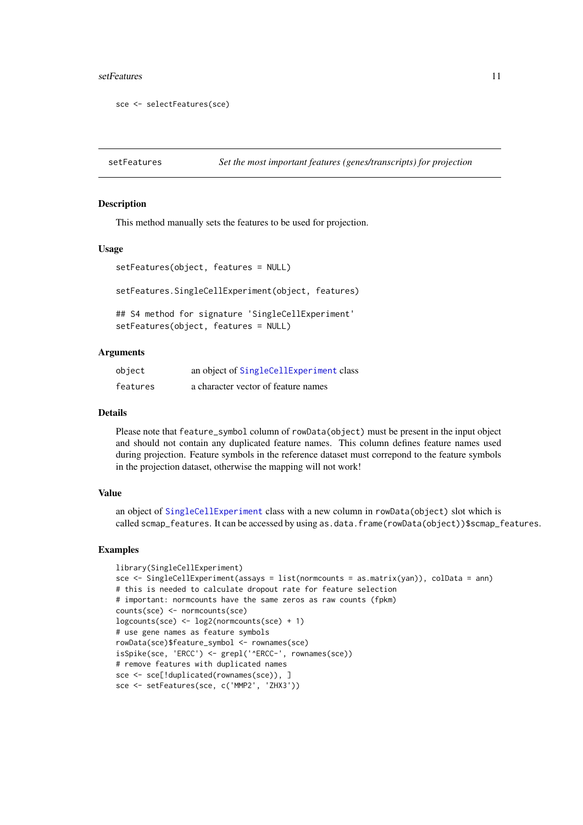#### <span id="page-10-0"></span>setFeatures 11

```
sce <- selectFeatures(sce)
```
setFeatures *Set the most important features (genes/transcripts) for projection*

#### Description

This method manually sets the features to be used for projection.

#### Usage

```
setFeatures(object, features = NULL)
```
setFeatures.SingleCellExperiment(object, features)

## S4 method for signature 'SingleCellExperiment' setFeatures(object, features = NULL)

#### Arguments

| object   | an object of SingleCellExperiment class |
|----------|-----------------------------------------|
| features | a character vector of feature names     |

#### Details

Please note that feature\_symbol column of rowData(object) must be present in the input object and should not contain any duplicated feature names. This column defines feature names used during projection. Feature symbols in the reference dataset must correpond to the feature symbols in the projection dataset, otherwise the mapping will not work!

#### Value

an object of [SingleCellExperiment](#page-0-0) class with a new column in rowData(object) slot which is called scmap\_features. It can be accessed by using as.data.frame(rowData(object))\$scmap\_features.

```
library(SingleCellExperiment)
sce <- SingleCellExperiment(assays = list(normcounts = as.matrix(yan)), colData = ann)
# this is needed to calculate dropout rate for feature selection
# important: normcounts have the same zeros as raw counts (fpkm)
counts(sce) <- normcounts(sce)
logcounts(sce) <- log2(normcounts(sce) + 1)
# use gene names as feature symbols
rowData(sce)$feature_symbol <- rownames(sce)
isSpike(sce, 'ERCC') <- grepl('^ERCC-', rownames(sce))
# remove features with duplicated names
sce <- sce[!duplicated(rownames(sce)), ]
sce <- setFeatures(sce, c('MMP2', 'ZHX3'))
```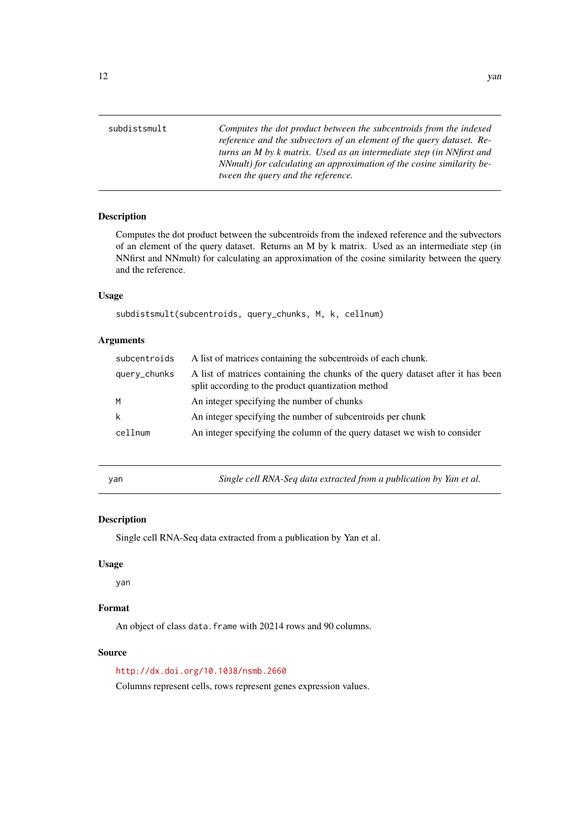<span id="page-11-0"></span>

| subdistsmult | Computes the dot product between the subcentroids from the indexed    |
|--------------|-----------------------------------------------------------------------|
|              | reference and the subvectors of an element of the query dataset. Re-  |
|              | turns an M by k matrix. Used as an intermediate step (in NNfirst and  |
|              | NNmult) for calculating an approximation of the cosine similarity be- |
|              | tween the query and the reference.                                    |

Computes the dot product between the subcentroids from the indexed reference and the subvectors of an element of the query dataset. Returns an M by k matrix. Used as an intermediate step (in NNfirst and NNmult) for calculating an approximation of the cosine similarity between the query and the reference.

#### Usage

subdistsmult(subcentroids, query\_chunks, M, k, cellnum)

#### Arguments

| subcentroids | A list of matrices containing the subcentroids of each chunk.                                                                         |
|--------------|---------------------------------------------------------------------------------------------------------------------------------------|
| query_chunks | A list of matrices containing the chunks of the query dataset after it has been<br>split according to the product quantization method |
| M            | An integer specifying the number of chunks                                                                                            |
| k            | An integer specifying the number of subcentroids per chunk                                                                            |
| cellnum      | An integer specifying the column of the query dataset we wish to consider                                                             |

yan *Single cell RNA-Seq data extracted from a publication by Yan et al.*

#### Description

Single cell RNA-Seq data extracted from a publication by Yan et al.

#### Usage

yan

#### Format

An object of class data. frame with 20214 rows and 90 columns.

#### Source

<http://dx.doi.org/10.1038/nsmb.2660>

Columns represent cells, rows represent genes expression values.